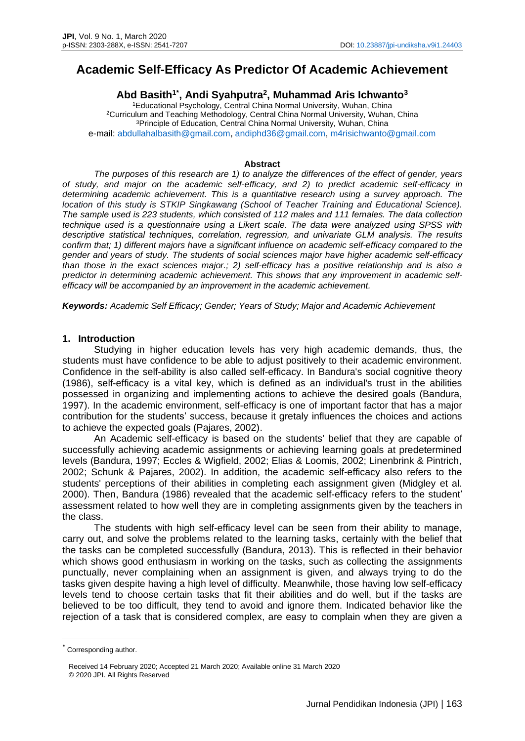# **Academic Self-Efficacy As Predictor Of Academic Achievement**

## **Abd Basith1\* , Andi Syahputra<sup>2</sup> , Muhammad Aris Ichwanto<sup>3</sup>**

Educational Psychology, Central China Normal University, Wuhan, China Curriculum and Teaching Methodology, Central China Normal University, Wuhan, China Principle of Education, Central China Normal University, Wuhan, China e-mail: [abdullahalbasith@gmail.com,](mailto:abdullahalbasith@gmail.com) [andiphd36@gmail.com,](mailto:andiphd36@gmail.com) [m4risichwanto@gmail.com](mailto:m4risichwanto@gmail.com)

#### **Abstract**

*The purposes of this research are 1) to analyze the differences of the effect of gender, years of study, and major on the academic self-efficacy, and 2) to predict academic self-efficacy in determining academic achievement. This is a quantitative research using a survey approach. The location of this study is STKIP Singkawang (School of Teacher Training and Educational Science). The sample used is 223 students, which consisted of 112 males and 111 females. The data collection technique used is a questionnaire using a Likert scale. The data were analyzed using SPSS with descriptive statistical techniques, correlation, regression, and univariate GLM analysis. The results confirm that; 1) different majors have a significant influence on academic self-efficacy compared to the gender and years of study. The students of social sciences major have higher academic self-efficacy than those in the exact sciences major.; 2) self-efficacy has a positive relationship and is also a predictor in determining academic achievement. This shows that any improvement in academic selfefficacy will be accompanied by an improvement in the academic achievement.*

*Keywords: Academic Self Efficacy; Gender; Years of Study; Major and Academic Achievement*

#### **1. Introduction**

Studying in higher education levels has very high academic demands, thus, the students must have confidence to be able to adjust positively to their academic environment. Confidence in the self-ability is also called self-efficacy. In Bandura's social cognitive theory (1986), self-efficacy is a vital key, which is defined as an individual's trust in the abilities possessed in organizing and implementing actions to achieve the desired goals (Bandura, 1997). In the academic environment, self-efficacy is one of important factor that has a major contribution for the students' success, because it gretaly influences the choices and actions to achieve the expected goals (Pajares, 2002).

An Academic self-efficacy is based on the students' belief that they are capable of successfully achieving academic assignments or achieving learning goals at predetermined levels (Bandura, 1997; Eccles & Wigfield, 2002; Elias & Loomis, 2002; Linenbrink & Pintrich, 2002; Schunk & Pajares, 2002). In addition, the academic self-efficacy also refers to the students' perceptions of their abilities in completing each assignment given (Midgley et al. 2000). Then, Bandura (1986) revealed that the academic self-efficacy refers to the student' assessment related to how well they are in completing assignments given by the teachers in the class.

The students with high self-efficacy level can be seen from their ability to manage, carry out, and solve the problems related to the learning tasks, certainly with the belief that the tasks can be completed successfully (Bandura, 2013). This is reflected in their behavior which shows good enthusiasm in working on the tasks, such as collecting the assignments punctually, never complaining when an assignment is given, and always trying to do the tasks given despite having a high level of difficulty. Meanwhile, those having low self-efficacy levels tend to choose certain tasks that fit their abilities and do well, but if the tasks are believed to be too difficult, they tend to avoid and ignore them. Indicated behavior like the rejection of a task that is considered complex, are easy to complain when they are given a

<sup>\*</sup> Corresponding author.

Received 14 February 2020; Accepted 21 March 2020; Available online 31 March 2020 © 2020 JPI. All Rights Reserved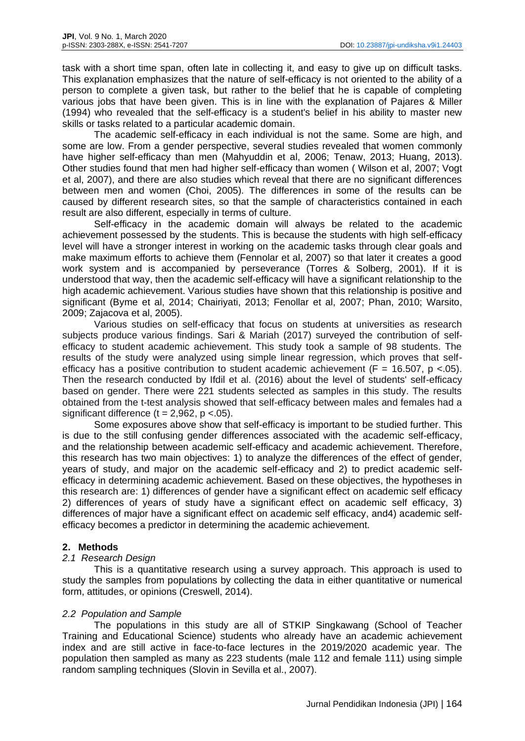task with a short time span, often late in collecting it, and easy to give up on difficult tasks. This explanation emphasizes that the nature of self-efficacy is not oriented to the ability of a person to complete a given task, but rather to the belief that he is capable of completing various jobs that have been given. This is in line with the explanation of Pajares & Miller (1994) who revealed that the self-efficacy is a student's belief in his ability to master new skills or tasks related to a particular academic domain.

The academic self-efficacy in each individual is not the same. Some are high, and some are low. From a gender perspective, several studies revealed that women commonly have higher self-efficacy than men (Mahyuddin et al, 2006; Tenaw, 2013; Huang, 2013). Other studies found that men had higher self-efficacy than women ( Wilson et al, 2007; Vogt et al, 2007), and there are also studies which reveal that there are no significant differences between men and women (Choi, 2005). The differences in some of the results can be caused by different research sites, so that the sample of characteristics contained in each result are also different, especially in terms of culture.

Self-efficacy in the academic domain will always be related to the academic achievement possessed by the students. This is because the students with high self-efficacy level will have a stronger interest in working on the academic tasks through clear goals and make maximum efforts to achieve them (Fennolar et al, 2007) so that later it creates a good work system and is accompanied by perseverance (Torres & Solberg, 2001). If it is understood that way, then the academic self-efficacy will have a significant relationship to the high academic achievement. Various studies have shown that this relationship is positive and significant (Byme et al, 2014; Chairiyati, 2013; Fenollar et al, 2007; Phan, 2010; Warsito, 2009; Zajacova et al, 2005).

Various studies on self-efficacy that focus on students at universities as research subjects produce various findings. Sari & Mariah (2017) surveyed the contribution of selfefficacy to student academic achievement. This study took a sample of 98 students. The results of the study were analyzed using simple linear regression, which proves that selfefficacy has a positive contribution to student academic achievement ( $F = 16.507$ , p <.05). Then the research conducted by Ifdil et al. (2016) about the level of students' self-efficacy based on gender. There were 221 students selected as samples in this study. The results obtained from the t-test analysis showed that self-efficacy between males and females had a significant difference  $(t = 2,962, p < 05)$ .

Some exposures above show that self-efficacy is important to be studied further. This is due to the still confusing gender differences associated with the academic self-efficacy, and the relationship between academic self-efficacy and academic achievement. Therefore, this research has two main objectives: 1) to analyze the differences of the effect of gender, years of study, and major on the academic self-efficacy and 2) to predict academic selfefficacy in determining academic achievement. Based on these objectives, the hypotheses in this research are: 1) differences of gender have a significant effect on academic self efficacy 2) differences of years of study have a significant effect on academic self efficacy, 3) differences of major have a significant effect on academic self efficacy, and4) academic selfefficacy becomes a predictor in determining the academic achievement.

## **2. Methods**

## *2.1 Research Design*

This is a quantitative research using a survey approach. This approach is used to study the samples from populations by collecting the data in either quantitative or numerical form, attitudes, or opinions (Creswell, 2014).

#### *2.2 Population and Sample*

The populations in this study are all of STKIP Singkawang (School of Teacher Training and Educational Science) students who already have an academic achievement index and are still active in face-to-face lectures in the 2019/2020 academic year. The population then sampled as many as 223 students (male 112 and female 111) using simple random sampling techniques (Slovin in Sevilla et al., 2007).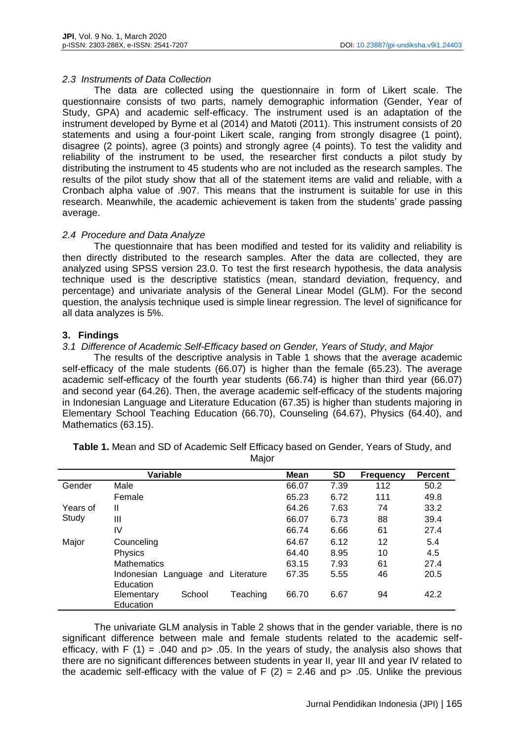## *2.3 Instruments of Data Collection*

The data are collected using the questionnaire in form of Likert scale. The questionnaire consists of two parts, namely demographic information (Gender, Year of Study, GPA) and academic self-efficacy. The instrument used is an adaptation of the instrument developed by Byrne et al (2014) and Matoti (2011). This instrument consists of 20 statements and using a four-point Likert scale, ranging from strongly disagree (1 point), disagree (2 points), agree (3 points) and strongly agree (4 points). To test the validity and reliability of the instrument to be used, the researcher first conducts a pilot study by distributing the instrument to 45 students who are not included as the research samples. The results of the pilot study show that all of the statement items are valid and reliable, with a Cronbach alpha value of .907. This means that the instrument is suitable for use in this research. Meanwhile, the academic achievement is taken from the students' grade passing average.

## *2.4 Procedure and Data Analyze*

The questionnaire that has been modified and tested for its validity and reliability is then directly distributed to the research samples. After the data are collected, they are analyzed using SPSS version 23.0. To test the first research hypothesis, the data analysis technique used is the descriptive statistics (mean, standard deviation, frequency, and percentage) and univariate analysis of the General Linear Model (GLM). For the second question, the analysis technique used is simple linear regression. The level of significance for all data analyzes is 5%.

## **3. Findings**

## *3.1 Difference of Academic Self-Efficacy based on Gender, Years of Study, and Major*

The results of the descriptive analysis in Table 1 shows that the average academic self-efficacy of the male students (66.07) is higher than the female (65.23). The average academic self-efficacy of the fourth year students (66.74) is higher than third year (66.07) and second year (64.26). Then, the average academic self-efficacy of the students majoring in Indonesian Language and Literature Education (67.35) is higher than students majoring in Elementary School Teaching Education (66.70), Counseling (64.67), Physics (64.40), and Mathematics (63.15).

|          | Variable                                        |          | <b>Mean</b> | <b>SD</b> | <b>Frequency</b> | <b>Percent</b> |
|----------|-------------------------------------------------|----------|-------------|-----------|------------------|----------------|
| Gender   | Male                                            |          | 66.07       | 7.39      | 112              | 50.2           |
|          | Female                                          |          | 65.23       | 6.72      | 111              | 49.8           |
| Years of | Ш                                               |          | 64.26       | 7.63      | 74               | 33.2           |
| Study    | Ш                                               |          | 66.07       | 6.73      | 88               | 39.4           |
|          | IV                                              |          | 66.74       | 6.66      | 61               | 27.4           |
| Major    | Counceling                                      |          | 64.67       | 6.12      | 12               | 5.4            |
|          | Physics                                         |          | 64.40       | 8.95      | 10               | 4.5            |
|          | <b>Mathematics</b>                              |          | 63.15       | 7.93      | 61               | 27.4           |
|          | Indonesian Language and Literature<br>Education |          | 67.35       | 5.55      | 46               | 20.5           |
|          | School<br>Elementary<br>Education               | Teaching | 66.70       | 6.67      | 94               | 42.2           |

**Table 1.** Mean and SD of Academic Self Efficacy based on Gender, Years of Study, and Major

The univariate GLM analysis in Table 2 shows that in the gender variable, there is no significant difference between male and female students related to the academic selfefficacy, with F (1) = .040 and  $p$  > .05. In the years of study, the analysis also shows that there are no significant differences between students in year II, year III and year IV related to the academic self-efficacy with the value of  $F(2) = 2.46$  and  $p > .05$ . Unlike the previous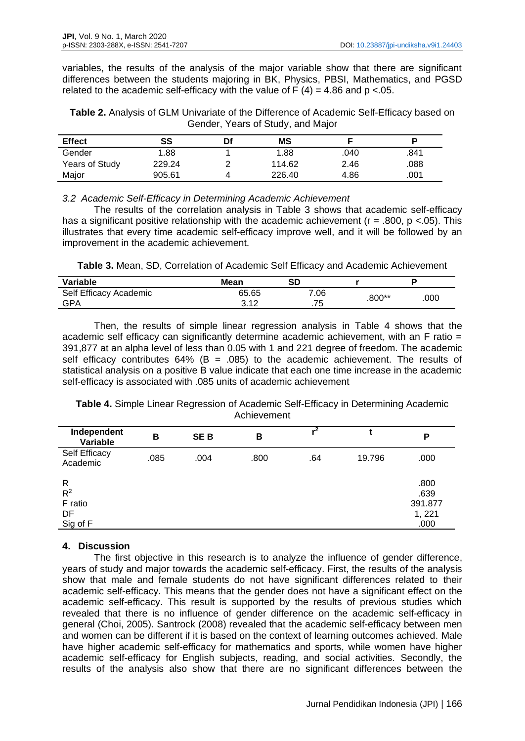variables, the results of the analysis of the major variable show that there are significant differences between the students majoring in BK, Physics, PBSI, Mathematics, and PGSD related to the academic self-efficacy with the value of  $F(4) = 4.86$  and  $p < 0.05$ .

| Table 2. Analysis of GLM Univariate of the Difference of Academic Self-Efficacy based on |  |
|------------------------------------------------------------------------------------------|--|
| Gender, Years of Study, and Major                                                        |  |

| <b>Effect</b>  | SS     | Df | MS     |      |      |
|----------------|--------|----|--------|------|------|
| Gender         | 1.88   |    | 1.88   | .040 | .841 |
| Years of Study | 229.24 |    | 114.62 | 2.46 | .088 |
| Major          | 905.61 |    | 226.40 | 4.86 | .001 |

## *3.2 Academic Self-Efficacy in Determining Academic Achievement*

The results of the correlation analysis in Table 3 shows that academic self-efficacy has a significant positive relationship with the academic achievement ( $r = .800$ ,  $p < .05$ ). This illustrates that every time academic self-efficacy improve well, and it will be followed by an improvement in the academic achievement.

**Table 3.** Mean, SD, Correlation of Academic Self Efficacy and Academic Achievement

| Variable               | Mean                 | SD        |        |      |
|------------------------|----------------------|-----------|--------|------|
| Self Efficacy Academic | 65.65                | 7.06      | .800** | .000 |
| GPA                    | າ 4 ລ<br><b>J.IL</b> | フト<br>ن ، |        |      |

Then, the results of simple linear regression analysis in Table 4 shows that the academic self efficacy can significantly determine academic achievement, with an F ratio = 391,877 at an alpha level of less than 0.05 with 1 and 221 degree of freedom. The academic self efficacy contributes 64% (B = .085) to the academic achievement. The results of statistical analysis on a positive B value indicate that each one time increase in the academic self-efficacy is associated with .085 units of academic achievement

**Table 4.** Simple Linear Regression of Academic Self-Efficacy in Determining Academic Achievement

| Independent<br>Variable                | в    | SE B | в    | $\overline{r^2}$ |        | P                                |
|----------------------------------------|------|------|------|------------------|--------|----------------------------------|
| Self Efficacy<br>Academic              | .085 | .004 | .800 | .64              | 19.796 | .000                             |
| $\mathsf{R}$<br>$R^2$<br>F ratio<br>DF |      |      |      |                  |        | .800<br>.639<br>391.877<br>1,221 |
| Sig of F                               |      |      |      |                  |        | .000                             |

# **4. Discussion**

The first objective in this research is to analyze the influence of gender difference, years of study and major towards the academic self-efficacy. First, the results of the analysis show that male and female students do not have significant differences related to their academic self-efficacy. This means that the gender does not have a significant effect on the academic self-efficacy. This result is supported by the results of previous studies which revealed that there is no influence of gender difference on the academic self-efficacy in general (Choi, 2005). Santrock (2008) revealed that the academic self-efficacy between men and women can be different if it is based on the context of learning outcomes achieved. Male have higher academic self-efficacy for mathematics and sports, while women have higher academic self-efficacy for English subjects, reading, and social activities. Secondly, the results of the analysis also show that there are no significant differences between the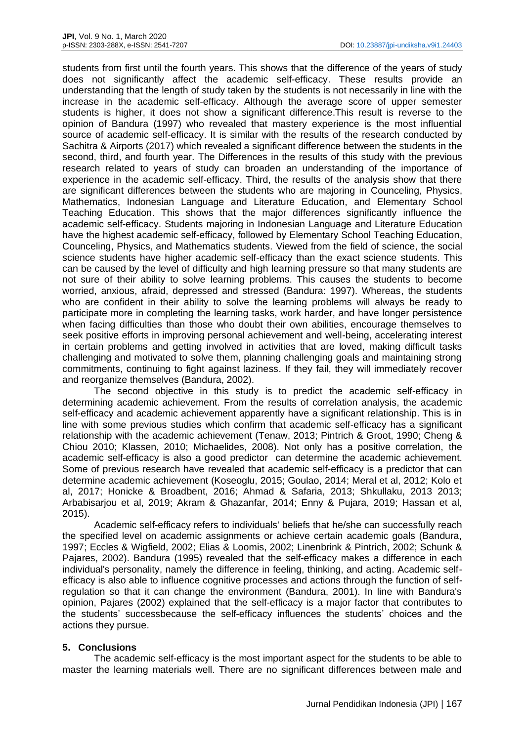students from first until the fourth years. This shows that the difference of the years of study does not significantly affect the academic self-efficacy. These results provide an understanding that the length of study taken by the students is not necessarily in line with the increase in the academic self-efficacy. Although the average score of upper semester students is higher, it does not show a significant difference.This result is reverse to the opinion of Bandura (1997) who revealed that mastery experience is the most influential source of academic self-efficacy. It is similar with the results of the research conducted by Sachitra & Airports (2017) which revealed a significant difference between the students in the second, third, and fourth year. The Differences in the results of this study with the previous research related to years of study can broaden an understanding of the importance of experience in the academic self-efficacy. Third, the results of the analysis show that there are significant differences between the students who are majoring in Counceling, Physics, Mathematics, Indonesian Language and Literature Education, and Elementary School Teaching Education. This shows that the major differences significantly influence the academic self-efficacy. Students majoring in Indonesian Language and Literature Education have the highest academic self-efficacy, followed by Elementary School Teaching Education, Counceling, Physics, and Mathematics students. Viewed from the field of science, the social science students have higher academic self-efficacy than the exact science students. This can be caused by the level of difficulty and high learning pressure so that many students are not sure of their ability to solve learning problems. This causes the students to become worried, anxious, afraid, depressed and stressed (Bandura: 1997). Whereas, the students who are confident in their ability to solve the learning problems will always be ready to participate more in completing the learning tasks, work harder, and have longer persistence when facing difficulties than those who doubt their own abilities, encourage themselves to seek positive efforts in improving personal achievement and well-being, accelerating interest in certain problems and getting involved in activities that are loved, making difficult tasks challenging and motivated to solve them, planning challenging goals and maintaining strong commitments, continuing to fight against laziness. If they fail, they will immediately recover and reorganize themselves (Bandura, 2002).

The second objective in this study is to predict the academic self-efficacy in determining academic achievement. From the results of correlation analysis, the academic self-efficacy and academic achievement apparently have a significant relationship. This is in line with some previous studies which confirm that academic self-efficacy has a significant relationship with the academic achievement (Tenaw, 2013; Pintrich & Groot, 1990; Cheng & Chiou 2010; Klassen, 2010; Michaelides, 2008). Not only has a positive correlation, the academic self-efficacy is also a good predictor can determine the academic achievement. Some of previous research have revealed that academic self-efficacy is a predictor that can determine academic achievement (Koseoglu, 2015; Goulao, 2014; Meral et al, 2012; Kolo et al, 2017; Honicke & Broadbent, 2016; Ahmad & Safaria, 2013; Shkullaku, 2013 2013; Arbabisarjou et al, 2019; Akram & Ghazanfar, 2014; Enny & Pujara, 2019; Hassan et al, 2015).

Academic self-efficacy refers to individuals' beliefs that he/she can successfully reach the specified level on academic assignments or achieve certain academic goals (Bandura, 1997; Eccles & Wigfield, 2002; Elias & Loomis, 2002; Linenbrink & Pintrich, 2002; Schunk & Pajares, 2002). Bandura (1995) revealed that the self-efficacy makes a difference in each individual's personality, namely the difference in feeling, thinking, and acting. Academic selfefficacy is also able to influence cognitive processes and actions through the function of selfregulation so that it can change the environment (Bandura, 2001). In line with Bandura's opinion, Pajares (2002) explained that the self-efficacy is a major factor that contributes to the students' successbecause the self-efficacy influences the students' choices and the actions they pursue.

## **5. Conclusions**

The academic self-efficacy is the most important aspect for the students to be able to master the learning materials well. There are no significant differences between male and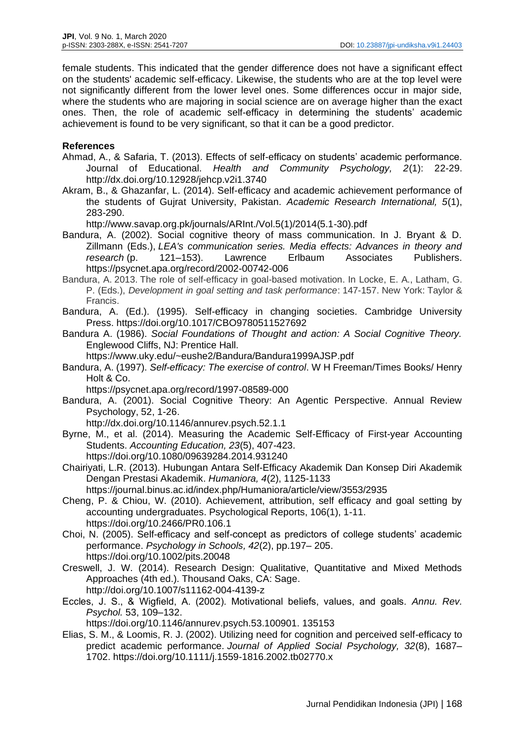female students. This indicated that the gender difference does not have a significant effect on the students' academic self-efficacy. Likewise, the students who are at the top level were not significantly different from the lower level ones. Some differences occur in major side, where the students who are majoring in social science are on average higher than the exact ones. Then, the role of academic self-efficacy in determining the students' academic achievement is found to be very significant, so that it can be a good predictor.

#### **References**

- Ahmad, A., & Safaria, T. (2013). Effects of self-efficacy on students' academic performance. Journal of Educational. *Health and Community Psychology, 2*(1): 22-29. <http://dx.doi.org/10.12928/jehcp.v2i1.3740>
- Akram, B., & Ghazanfar, L. (2014). Self-efficacy and academic achievement performance of the students of Gujrat University, Pakistan. *Academic Research International, 5*(1), 283-290.

[http://www.savap.org.pk/journals/ARInt./Vol.5\(1\)/2014\(5.1-30\).pdf](http://www.savap.org.pk/journals/ARInt./Vol.5(1)/2014(5.1-30).pdf)

- Bandura, A. (2002). Social cognitive theory of mass communication. In J. Bryant & D. Zillmann (Eds.), *LEA's communication series. Media effects: Advances in theory and research* (p. 121–153). Lawrence Erlbaum Associates Publishers. <https://psycnet.apa.org/record/2002-00742-006>
- Bandura, A. 2013. The role of self-efficacy in goal-based motivation. In Locke, E. A., Latham, G. P. (Eds.), *Development in goal setting and task performance*: 147-157. New York: Taylor & Francis.
- Bandura, A. (Ed.). (1995). Self-efficacy in changing societies. Cambridge University Press. [https://doi.org/10.1017/CBO9780511527692](https://psycnet.apa.org/doi/10.1017/CBO9780511527692)
- Bandura A. (1986). *Social Foundations of Thought and action: A Social Cognitive Theory.* Englewood Cliffs, NJ: Prentice Hall.
	- <https://www.uky.edu/~eushe2/Bandura/Bandura1999AJSP.pdf>
- Bandura, A. (1997). *Self-efficacy: The exercise of control*. W H Freeman/Times Books/ Henry Holt & Co.

<https://psycnet.apa.org/record/1997-08589-000>

Bandura, A. (2001). Social Cognitive Theory: An Agentic Perspective. Annual Review Psychology, 52, 1-26.

<http://dx.doi.org/10.1146/annurev.psych.52.1.1>

- Byrne, M., et al. (2014). Measuring the Academic Self-Efficacy of First-year Accounting Students. *Accounting Education, 23*(5), 407-423. <https://doi.org/10.1080/09639284.2014.931240>
- Chairiyati, L.R. (2013). Hubungan Antara Self-Efficacy Akademik Dan Konsep Diri Akademik Dengan Prestasi Akademik. *Humaniora, 4*(2), 1125-1133

<https://journal.binus.ac.id/index.php/Humaniora/article/view/3553/2935>

- Cheng, P. & Chiou, W. (2010). Achievement, attribution, self efficacy and goal setting by accounting undergraduates. Psychological Reports, 106(1), 1-11. <https://doi.org/10.2466/PR0.106.1>
- Choi, N. (2005). Self-efficacy and self-concept as predictors of college students' academic performance. *Psychology in Schools, 42*(2), pp.197– 205. <https://doi.org/10.1002/pits.20048>
- Creswell, J. W. (2014). Research Design: Qualitative, Quantitative and Mixed Methods Approaches (4th ed.). Thousand Oaks, CA: Sage. http://doi.org[/10.1007/s11162-004-4139-z](https://www.researchgate.net/deref/http%3A%2F%2Fdx.doi.org%2F10.1007%2Fs11162-004-4139-z?_sg%5B0%5D=x-i6JkNtEIzRB44WZBcgrjq8rggJoGBAt4m4HubOpD9SqxNGuqhBD5pWn0S8Nv_YbLAg5gIhkEVmNXs75Zyn17G3ZA.bwVj1Z50aYujnoiL7LdX61tByIa6sZ4t7X19XFfHW9aYXOWr6wRgI7Ied7ZPf6s0edtHUJmoXXk39FZr5hYIsg)
- Eccles, J. S., & Wigfield, A. (2002). Motivational beliefs, values, and goals. *Annu. Rev. Psychol.* 53, 109–132.

[https://doi.org/10.1146/annurev.psych.53.100901. 135153](https://doi.org/10.1146/annurev.psych.53.100901.%20135153)

Elias, S. M., & Loomis, R. J. (2002). Utilizing need for cognition and perceived self-efficacy to predict academic performance. *Journal of Applied Social Psychology, 32*(8), 1687– 1702. [https://doi.org/10.1111/j.1559-1816.2002.tb02770.x](https://psycnet.apa.org/doi/10.1111/j.1559-1816.2002.tb02770.x)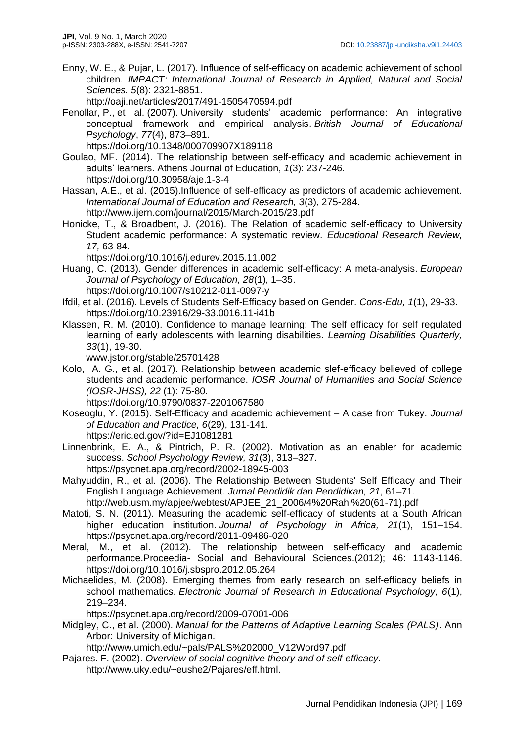Enny, W. E., & Pujar, L. (2017). Influence of self-efficacy on academic achievement of school children. *IMPACT: International Journal of Research in Applied, Natural and Social Sciences. 5*(8): 2321-8851.

<http://oaji.net/articles/2017/491-1505470594.pdf>

- Fenollar, P., et al. (2007). University students' academic performance: An integrative conceptual framework and empirical analysis. *British Journal of Educational Psychology*, *77*(4), 873–891.
	- <https://doi.org/10.1348/000709907X189118>
- Goulao, MF. (2014). The relationship between self-efficacy and academic achievement in adults' learners. Athens Journal of Education, *1*(3): 237-246. <https://doi.org/10.30958/aje.1-3-4>
- Hassan, A.E., et al. (2015).Influence of self-efficacy as predictors of academic achievement. *International Journal of Education and Research, 3*(3), 275-284. <http://www.ijern.com/journal/2015/March-2015/23.pdf>
- Honicke, T., & Broadbent, J*.* (2016). The Relation of academic self-efficacy to University Student academic performance: A systematic review. *Educational Research Review, 17,* 63-84.

<https://doi.org/10.1016/j.edurev.2015.11.002>

- Huang, C. (2013). Gender differences in academic self-efficacy: A meta-analysis. *European Journal of Psychology of Education, 28*(1), 1–35. [https://doi.org/10.1007/s10212-011-0097-y](https://psycnet.apa.org/doi/10.1007/s10212-011-0097-y)
- Ifdil, et al. (2016). Levels of Students Self-Efficacy based on Gender. *Cons-Edu, 1*(1), 29-33. [https://doi.org/10.23916/29-33.0016.11-i41b](http://dx.doi.org/10.23916/29-33.0016.11-i41b)
- Klassen, R. M. (2010). Confidence to manage learning: The self efficacy for self regulated learning of early adolescents with learning disabilities. *Learning Disabilities Quarterly, 33*(1), 19-30.

[www.jstor.org/stable/25701428](http://www.jstor.org/stable/25701428)

Kolo, A. G., et al. (2017). Relationship between academic slef-efficacy believed of college students and academic performance. *IOSR Journal of Humanities and Social Science (IOSR-JHSS), 22* (1): 75-80.

<https://doi.org/10.9790/0837-2201067580>

Koseoglu, Y. (2015). Self-Efficacy and academic achievement – A case from Tukey. *Journal of Education and Practice, 6*(29), 131-141.

<https://eric.ed.gov/?id=EJ1081281>

- Linnenbrink, E. A., & Pintrich, P. R. (2002). Motivation as an enabler for academic success. *School Psychology Review, 31*(3), 313–327. <https://psycnet.apa.org/record/2002-18945-003>
- Mahyuddin, R., et al. (2006). The Relationship Between Students' Self Efficacy and Their English Language Achievement. *Jurnal Pendidik dan Pendidikan, 21*, 61–71.

[http://web.usm.my/apjee/webtest/APJEE\\_21\\_2006/4%20Rahi%20\(61-71\).pdf](http://web.usm.my/apjee/webtest/APJEE_21_2006/4%20Rahi%20(61-71).pdf)

- Matoti, S. N. (2011). Measuring the academic self-efficacy of students at a South African higher education institution. *Journal of Psychology in Africa, 21*(1), 151–154. <https://psycnet.apa.org/record/2011-09486-020>
- Meral, M., et al. (2012). The relationship between self-efficacy and academic performance.Proceedia- Social and Behavioural Sciences.(2012); 46: 1143-1146. <https://doi.org/10.1016/j.sbspro.2012.05.264>
- Michaelides, M. (2008). Emerging themes from early research on self-efficacy beliefs in school mathematics. *Electronic Journal of Research in Educational Psychology, 6*(1), 219–234.

<https://psycnet.apa.org/record/2009-07001-006>

Midgley, C., et al. (2000). *Manual for the Patterns of Adaptive Learning Scales (PALS)*. Ann Arbor: University of Michigan.

[http://www.umich.edu/~pals/PALS%202000\\_V12Word97.pdf](http://www.umich.edu/~pals/PALS%202000_V12Word97.pdf)

Pajares. F. (2002). *Overview of social cognitive theory and of self-efficacy*. [http://www.uky.edu/~eushe2/Pajares/eff.html.](http://www.uky.edu/~eushe2/Pajares/eff.html)